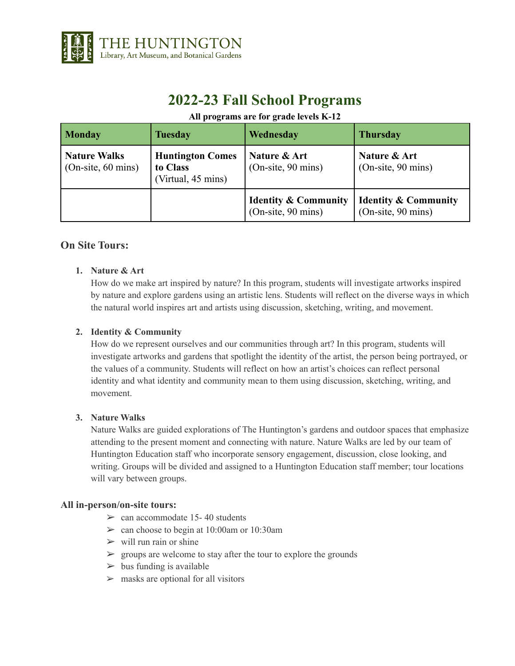

# **2022-23 Fall School Programs**

## **All programs are for grade levels K-12**

| <b>Monday</b>                               | <b>Tuesday</b>                                            | Wednesday                                             | <b>Thursday</b>                                         |
|---------------------------------------------|-----------------------------------------------------------|-------------------------------------------------------|---------------------------------------------------------|
| <b>Nature Walks</b><br>$(On-site, 60 mins)$ | <b>Huntington Comes</b><br>to Class<br>(Virtual, 45 mins) | Nature & Art<br>$(On-site, 90 mins)$                  | Nature & Art<br>$(On-site, 90 mins)$                    |
|                                             |                                                           | <b>Identity &amp; Community</b><br>(On-site, 90 mins) | <b>Identity &amp; Community</b><br>$(On-site, 90 mins)$ |

## **On Site Tours:**

## **1. Nature & Art**

How do we make art inspired by nature? In this program, students will investigate artworks inspired by nature and explore gardens using an artistic lens. Students will reflect on the diverse ways in which the natural world inspires art and artists using discussion, sketching, writing, and movement.

#### **2. Identity & Community**

How do we represent ourselves and our communities through art? In this program, students will investigate artworks and gardens that spotlight the identity of the artist, the person being portrayed, or the values of a community. Students will reflect on how an artist's choices can reflect personal identity and what identity and community mean to them using discussion, sketching, writing, and movement.

#### **3. Nature Walks**

Nature Walks are guided explorations of The Huntington's gardens and outdoor spaces that emphasize attending to the present moment and connecting with nature. Nature Walks are led by our team of Huntington Education staff who incorporate sensory engagement, discussion, close looking, and writing. Groups will be divided and assigned to a Huntington Education staff member; tour locations will vary between groups.

#### **All in-person/on-site tours:**

- $\geq$  can accommodate 15-40 students
- $\geq$  can choose to begin at 10:00am or 10:30am
- $\triangleright$  will run rain or shine
- $\triangleright$  groups are welcome to stay after the tour to explore the grounds
- $\triangleright$  bus funding is available
- $>$  masks are optional for all visitors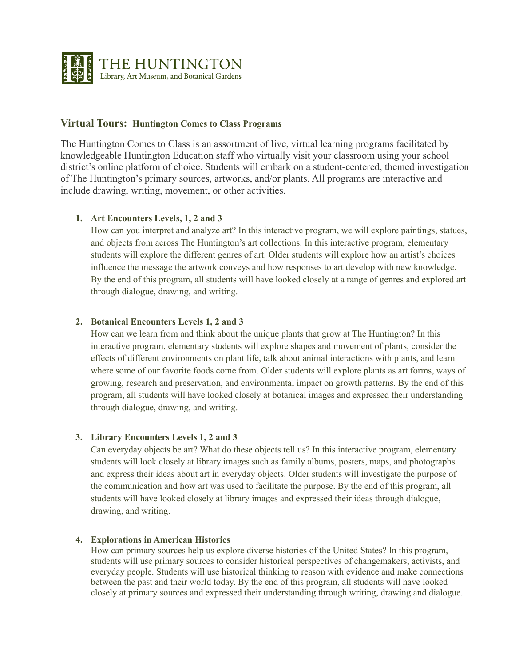

## **Virtual Tours: Huntington Comes to Class Programs**

The Huntington Comes to Class is an assortment of live, virtual learning programs facilitated by knowledgeable Huntington Education staff who virtually visit your classroom using your school district's online platform of choice. Students will embark on a student-centered, themed investigation of The Huntington's primary sources, artworks, and/or plants. All programs are interactive and include drawing, writing, movement, or other activities.

## **1. Art Encounters Levels, 1, 2 and 3**

How can you interpret and analyze art? In this interactive program, we will explore paintings, statues, and objects from across The Huntington's art collections. In this interactive program, elementary students will explore the different genres of art. Older students will explore how an artist's choices influence the message the artwork conveys and how responses to art develop with new knowledge. By the end of this program, all students will have looked closely at a range of genres and explored art through dialogue, drawing, and writing.

#### **2. Botanical Encounters Levels 1, 2 and 3**

How can we learn from and think about the unique plants that grow at The Huntington? In this interactive program, elementary students will explore shapes and movement of plants, consider the effects of different environments on plant life, talk about animal interactions with plants, and learn where some of our favorite foods come from. Older students will explore plants as art forms, ways of growing, research and preservation, and environmental impact on growth patterns. By the end of this program, all students will have looked closely at botanical images and expressed their understanding through dialogue, drawing, and writing.

#### **3. Library Encounters Levels 1, 2 and 3**

Can everyday objects be art? What do these objects tell us? In this interactive program, elementary students will look closely at library images such as family albums, posters, maps, and photographs and express their ideas about art in everyday objects. Older students will investigate the purpose of the communication and how art was used to facilitate the purpose. By the end of this program, all students will have looked closely at library images and expressed their ideas through dialogue, drawing, and writing.

#### **4. Explorations in American Histories**

How can primary sources help us explore diverse histories of the United States? In this program, students will use primary sources to consider historical perspectives of changemakers, activists, and everyday people. Students will use historical thinking to reason with evidence and make connections between the past and their world today. By the end of this program, all students will have looked closely at primary sources and expressed their understanding through writing, drawing and dialogue.